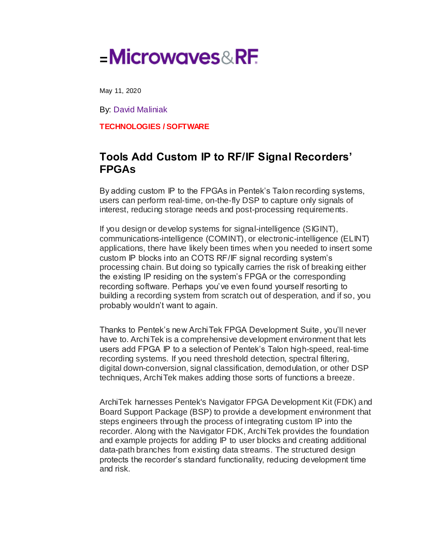## **=**

May 11, 2020

By: [David Maliniak](https://www.mwrf.com/home/contact/21121533/david-maliniak)

**[TECHNOLOGIES](https://www.mwrf.com/technologies) / [SOFTWARE](https://www.mwrf.com/technologies/software)**

## **Tools Add Custom IP to RF/IF Signal Recorders' FPGAs**

By adding custom IP to the FPGAs in Pentek's Talon recording systems, users can perform real-time, on-the-fly DSP to capture only signals of interest, reducing storage needs and post-processing requirements.

If you design or develop systems for signal-intelligence (SIGINT), communications-intelligence (COMINT), or electronic-intelligence (ELINT) applications, there have likely been times when you needed to insert some custom IP blocks into an COTS RF/IF signal recording system's processing chain. But doing so typically carries the risk of breaking either the existing IP residing on the system's FPGA or the corresponding recording software. Perhaps you've even found yourself resorting to building a recording system from scratch out of desperation, and if so, you probably wouldn't want to again.

Thanks to Pentek's new ArchiTek FPGA Development Suite, you'll never have to. ArchiTek is a comprehensive development environment that lets users add FPGA IP to a selection of Pentek's Talon high-speed, real-time recording systems. If you need threshold detection, spectral filtering, digital down-conversion, signal classification, demodulation, or other DSP techniques, ArchiTek makes adding those sorts of functions a breeze.

ArchiTek harnesses Pentek's Navigator FPGA Development Kit (FDK) and Board Support Package (BSP) to provide a development environment that steps engineers through the process of integrating custom IP into the recorder. Along with the Navigator FDK, ArchiTek provides the foundation and example projects for adding IP to user blocks and creating additional data-path branches from existing data streams. The structured design protects the recorder's standard functionality, reducing development time and risk.